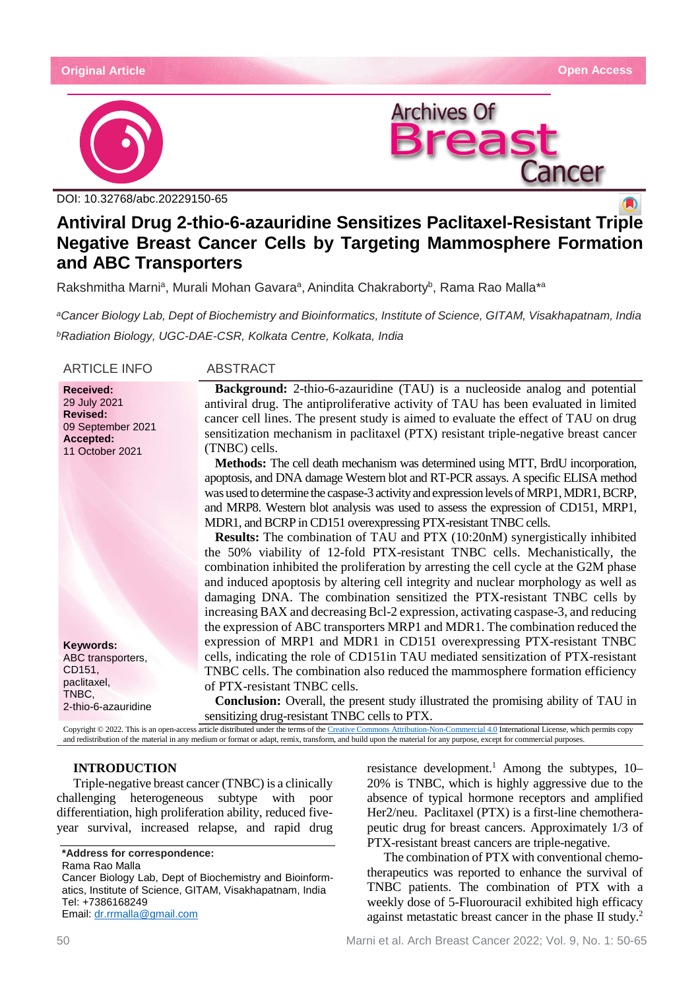$\blacksquare$ 



DOI: [10.32768/abc.20229150-65](http://dx.doi.org/10.32768/abc.202285XXX-XXX)



**Antiviral Drug 2-thio-6-azauridine Sensitizes Paclitaxel-Resistant Triple Negative Breast Cancer Cells by Targeting Mammosphere Formation and ABC Transporters**

Rakshmitha Marni<sup>a</sup>, Murali Mohan Gavara<sup>a</sup>, Anindita Chakraborty<sup>b</sup>, Rama Rao Malla\*<sup>a</sup>

*aCancer Biology Lab, Dept of Biochemistry and Bioinformatics, Institute of Science, GITAM, Visakhapatnam, India bRadiation Biology, UGC-DAE-CSR, Kolkata Centre, Kolkata, India*

ARTICLE INFO ABSTRACT

**Received:** 29 July 2021 **Revised:** 09 September 2021 **Accepted:** 11 October 2021

**Keywords:** ABC transporters, CD151, paclitaxel, TNBC, 2-thio-6-azauridine

**Background:** 2-thio-6-azauridine (TAU) is a nucleoside analog and potential antiviral drug. The antiproliferative activity of TAU has been evaluated in limited cancer cell lines. The present study is aimed to evaluate the effect of TAU on drug sensitization mechanism in paclitaxel (PTX) resistant triple-negative breast cancer (TNBC) cells.

**Methods:** The cell death mechanism was determined using MTT, BrdU incorporation, apoptosis, and DNA damage Western blot and RT-PCR assays. A specific ELISA method was used to determine the caspase-3 activity and expression levels of MRP1, MDR1, BCRP, and MRP8. Western blot analysis was used to assess the expression of CD151, MRP1, MDR1, and BCRP in CD151 overexpressing PTX-resistant TNBC cells.

**Results:** The combination of TAU and PTX (10:20nM) synergistically inhibited the 50% viability of 12-fold PTX-resistant TNBC cells. Mechanistically, the combination inhibited the proliferation by arresting the cell cycle at the G2M phase and induced apoptosis by altering cell integrity and nuclear morphology as well as damaging DNA. The combination sensitized the PTX-resistant TNBC cells by increasing BAX and decreasing Bcl-2 expression, activating caspase-3, and reducing the expression of ABC transporters MRP1 and MDR1. The combination reduced the expression of MRP1 and MDR1 in CD151 overexpressing PTX-resistant TNBC cells, indicating the role of CD151in TAU mediated sensitization of PTX-resistant TNBC cells. The combination also reduced the mammosphere formation efficiency of PTX-resistant TNBC cells.

**Conclusion:** Overall, the present study illustrated the promising ability of TAU in sensitizing drug-resistant TNBC cells to PTX.

Copyright © 2022. This is an open-access article distributed under the terms of th[e Creative Commons Attribution-Non-Commercial 4.0](https://creativecommons.org/licenses/by-nc/4.0/) International License, which permits copy and redistribution of the material in any medium or format or adapt, remix, transform, and build upon the material for any purpose, except for commercial purposes.

# **INTRODUCTION**

Triple-negative breast cancer (TNBC) is a clinically challenging heterogeneous subtype with poor differentiation, high proliferation ability, reduced fiveyear survival, increased relapse, and rapid drug

**\*Address for correspondence:** Rama Rao Malla Cancer Biology Lab, Dept of Biochemistry and Bioinformatics, Institute of Science, GITAM, Visakhapatnam, India Tel: +7386168249 Email: [dr.rrmalla@gmail.com](mailto:dr.rrmalla@gmail.com)

resistance development.<sup>1</sup> Among the subtypes,  $10-$ 20% is TNBC, which is highly aggressive due to the absence of typical hormone receptors and amplified Her2/neu. Paclitaxel (PTX) is a first-line chemotherapeutic drug for breast cancers. Approximately 1/3 of PTX-resistant breast cancers are triple-negative.

The combination of PTX with conventional chemotherapeutics was reported to enhance the survival of TNBC patients. The combination of PTX with a weekly dose of 5-Fluorouracil exhibited high efficacy against metastatic breast cancer in the phase II study.<sup>2</sup>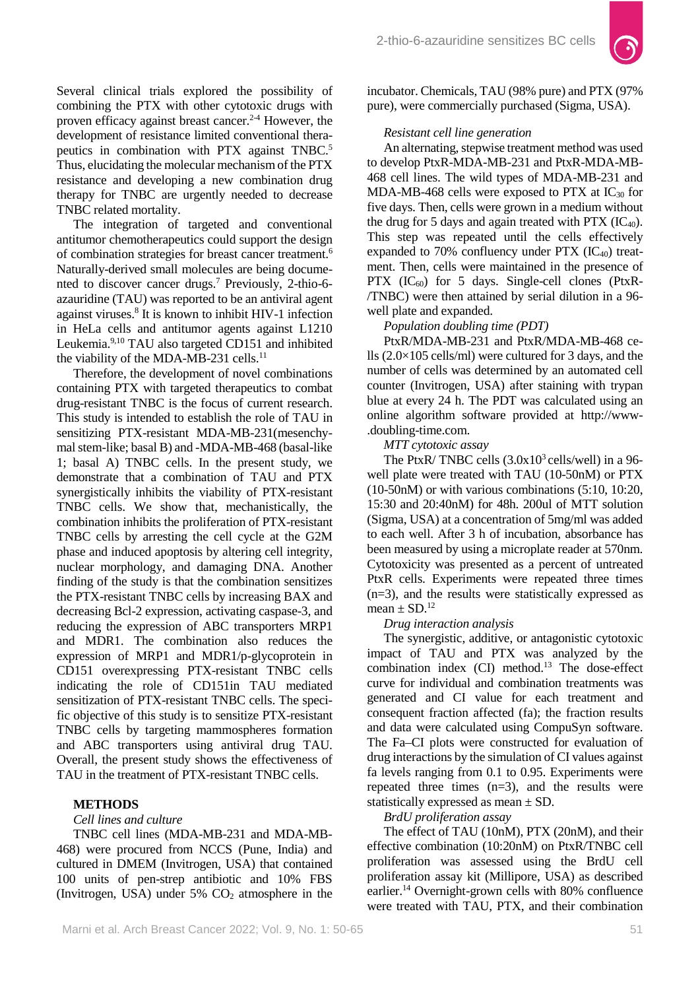

Several clinical trials explored the possibility of combining the PTX with other cytotoxic drugs with proven efficacy against breast cancer.<sup>2-4</sup> However, the development of resistance limited conventional therapeutics in combination with PTX against TNBC.<sup>5</sup> Thus, elucidating the molecular mechanism of the PTX resistance and developing a new combination drug therapy for TNBC are urgently needed to decrease TNBC related mortality.

The integration of targeted and conventional antitumor chemotherapeutics could support the design of combination strategies for breast cancer treatment.6 Naturally-derived small molecules are being documented to discover cancer drugs.7 Previously, 2-thio-6 azauridine (TAU) was reported to be an antiviral agent against viruses.8 It is known to inhibit HIV-1 infection in HeLa cells and antitumor agents against L1210 Leukemia.9,10 TAU also targeted CD151 and inhibited the viability of the MDA-MB-231 cells. $<sup>11</sup>$ </sup>

Therefore, the development of novel combinations containing PTX with targeted therapeutics to combat drug-resistant TNBC is the focus of current research. This study is intended to establish the role of TAU in sensitizing PTX-resistant MDA-MB-231(mesenchymal stem-like; basal B) and -MDA-MB-468 (basal-like 1; basal A) TNBC cells. In the present study, we demonstrate that a combination of TAU and PTX synergistically inhibits the viability of PTX-resistant TNBC cells. We show that, mechanistically, the combination inhibits the proliferation of PTX-resistant TNBC cells by arresting the cell cycle at the G2M phase and induced apoptosis by altering cell integrity, nuclear morphology, and damaging DNA. Another finding of the study is that the combination sensitizes the PTX-resistant TNBC cells by increasing BAX and decreasing Bcl-2 expression, activating caspase-3, and reducing the expression of ABC transporters MRP1 and MDR1. The combination also reduces the expression of MRP1 and MDR1/p-glycoprotein in CD151 overexpressing PTX-resistant TNBC cells indicating the role of CD151in TAU mediated sensitization of PTX-resistant TNBC cells. The specific objective of this study is to sensitize PTX-resistant TNBC cells by targeting mammospheres formation and ABC transporters using antiviral drug TAU. Overall, the present study shows the effectiveness of TAU in the treatment of PTX-resistant TNBC cells.

# **METHODS**

# *Cell lines and culture*

TNBC cell lines (MDA-MB-231 and MDA-MB-468) were procured from NCCS (Pune, India) and cultured in DMEM (Invitrogen, USA) that contained 100 units of pen-strep antibiotic and 10% FBS (Invitrogen, USA) under  $5\%$  CO<sub>2</sub> atmosphere in the

incubator. Chemicals, TAU (98% pure) and PTX (97% pure), were commercially purchased (Sigma, USA).

### *Resistant cell line generation*

An alternating, stepwise treatment method was used to develop PtxR-MDA-MB-231 and PtxR-MDA-MB-468 cell lines. The wild types of MDA-MB-231 and MDA-MB-468 cells were exposed to  $PTX$  at  $IC_{30}$  for five days. Then, cells were grown in a medium without the drug for 5 days and again treated with PTX  $(IC_{40})$ . This step was repeated until the cells effectively expanded to 70% confluency under  $PTX$  (IC<sub>40</sub>) treatment. Then, cells were maintained in the presence of PTX  $(IC_{60})$  for 5 days. Single-cell clones (PtxR-/TNBC) were then attained by serial dilution in a 96 well plate and expanded.

## *Population doubling time (PDT)*

PtxR/MDA-MB-231 and PtxR/MDA-MB-468 cells  $(2.0\times105 \text{ cells/ml})$  were cultured for 3 days, and the number of cells was determined by an automated cell counter (Invitrogen, USA) after staining with trypan blue at every 24 h. The PDT was calculated using an online algorithm software provided at http://www- .doubling-time.com.

## *MTT cytotoxic assay*

The PtxR/ TNBC cells  $(3.0x10^3 \text{ cells/well})$  in a 96well plate were treated with TAU (10-50nM) or PTX (10-50nM) or with various combinations (5:10, 10:20, 15:30 and 20:40nM) for 48h. 200ul of MTT solution (Sigma, USA) at a concentration of 5mg/ml was added to each well. After 3 h of incubation, absorbance has been measured by using a microplate reader at 570nm. Cytotoxicity was presented as a percent of untreated PtxR cells. Experiments were repeated three times (n=3), and the results were statistically expressed as mean  $\pm$  SD.<sup>12</sup>

## *Drug interaction analysis*

The synergistic, additive, or antagonistic cytotoxic impact of TAU and PTX was analyzed by the combination index (CI) method.<sup>13</sup> The dose-effect curve for individual and combination treatments was generated and CI value for each treatment and consequent fraction affected (fa); the fraction results and data were calculated using CompuSyn software. The Fa–CI plots were constructed for evaluation of drug interactions by the simulation of CI values against fa levels ranging from 0.1 to 0.95. Experiments were repeated three times  $(n=3)$ , and the results were statistically expressed as mean  $\pm$  SD.

## *BrdU proliferation assay*

The effect of TAU (10nM), PTX (20nM), and their effective combination (10:20nM) on PtxR/TNBC cell proliferation was assessed using the BrdU cell proliferation assay kit (Millipore, USA) as described earlier.14 Overnight-grown cells with 80% confluence were treated with TAU, PTX, and their combination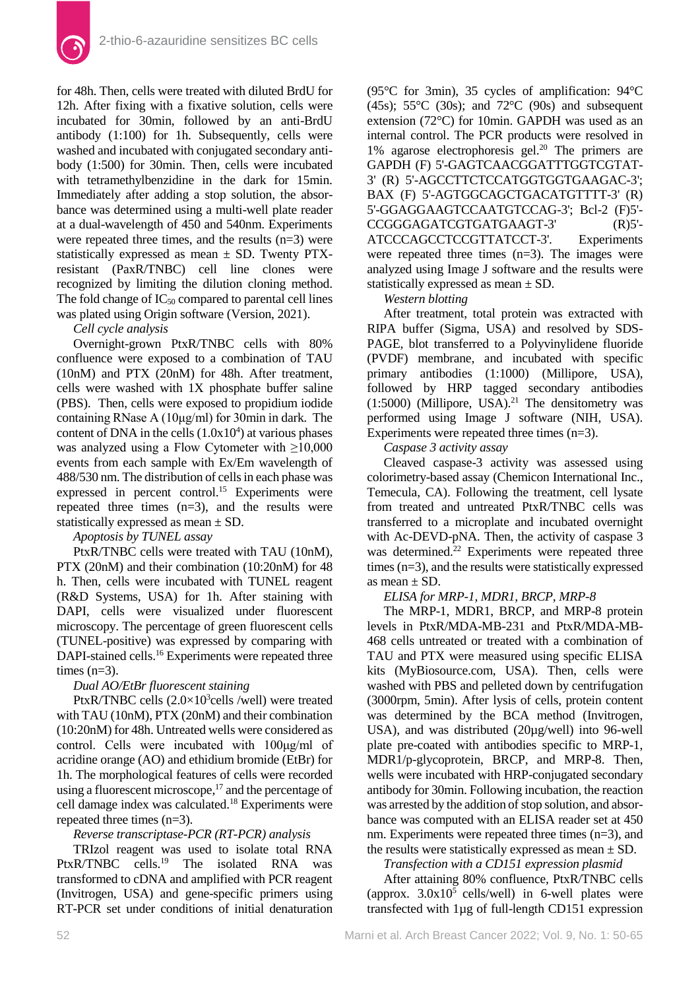

for 48h. Then, cells were treated with diluted BrdU for 12h. After fixing with a fixative solution, cells were incubated for 30min, followed by an anti-BrdU antibody (1:100) for 1h. Subsequently, cells were washed and incubated with conjugated secondary antibody (1:500) for 30min. Then, cells were incubated with tetramethylbenzidine in the dark for 15min. Immediately after adding a stop solution, the absorbance was determined using a multi-well plate reader at a dual-wavelength of 450 and 540nm. Experiments were repeated three times, and the results (n=3) were statistically expressed as mean  $\pm$  SD. Twenty PTXresistant (PaxR/TNBC) cell line clones were recognized by limiting the dilution cloning method. The fold change of  $IC_{50}$  compared to parental cell lines was plated using Origin software (Version, 2021).

# *Cell cycle analysis*

Overnight-grown PtxR/TNBC cells with 80% confluence were exposed to a combination of TAU (10nM) and PTX (20nM) for 48h. After treatment, cells were washed with 1X phosphate buffer saline (PBS). Then, cells were exposed to propidium iodide containing RNase A (10μg/ml) for 30min in dark. The content of DNA in the cells  $(1.0x10<sup>4</sup>)$  at various phases was analyzed using a Flow Cytometer with  $\geq 10,000$ events from each sample with Ex/Em wavelength of 488/530 nm. The distribution of cells in each phase was expressed in percent control.<sup>15</sup> Experiments were repeated three times  $(n=3)$ , and the results were statistically expressed as mean ± SD.

# *Apoptosis by TUNEL assay*

PtxR/TNBC cells were treated with TAU (10nM), PTX (20nM) and their combination (10:20nM) for 48 h. Then, cells were incubated with TUNEL reagent (R&D Systems, USA) for 1h. After staining with DAPI, cells were visualized under fluorescent microscopy. The percentage of green fluorescent cells (TUNEL-positive) was expressed by comparing with DAPI-stained cells.<sup>16</sup> Experiments were repeated three times  $(n=3)$ .

# *Dual AO/EtBr fluorescent staining*

PtxR/TNBC cells  $(2.0\times10^3$ cells /well) were treated with TAU (10nM), PTX (20nM) and their combination (10:20nM) for 48h. Untreated wells were considered as control. Cells were incubated with 100μg/ml of acridine orange (AO) and ethidium bromide (EtBr) for 1h. The morphological features of cells were recorded using a fluorescent microscope,<sup>17</sup> and the percentage of cell damage index was calculated.18 Experiments were repeated three times (n=3).

# *Reverse transcriptase-PCR (RT-PCR) analysis*

TRIzol reagent was used to isolate total RNA PtxR/TNBC cells.<sup>19</sup> The isolated RNA was transformed to cDNA and amplified with PCR reagent (Invitrogen, USA) and gene-specific primers using RT-PCR set under conditions of initial denaturation (95°C for 3min), 35 cycles of amplification: 94°C (45s); 55 $\degree$ C (30s); and 72 $\degree$ C (90s) and subsequent extension (72°C) for 10min. GAPDH was used as an internal control. The PCR products were resolved in 1% agarose electrophoresis gel.<sup>20</sup> The primers are GAPDH (F) 5'-GAGTCAACGGATTTGGTCGTAT-3' (R) 5'-AGCCTTCTCCATGGTGGTGAAGAC-3'; BAX (F) 5'-AGTGGCAGCTGACATGTTTT-3' (R) 5'-GGAGGAAGTCCAATGTCCAG-3'; Bcl-2 (F)5'- CCGGGAGATCGTGATGAAGT-3' (R)5'- ATCCCAGCCTCCGTTATCCT-3'. Experiments were repeated three times (n=3). The images were analyzed using Image J software and the results were statistically expressed as mean  $\pm$  SD.

*Western blotting*

After treatment, total protein was extracted with RIPA buffer (Sigma, USA) and resolved by SDS-PAGE, blot transferred to a Polyvinylidene fluoride (PVDF) membrane, and incubated with specific primary antibodies (1:1000) (Millipore, USA), followed by HRP tagged secondary antibodies  $(1:5000)$  (Millipore, USA).<sup>21</sup> The densitometry was performed using Image J software (NIH, USA). Experiments were repeated three times (n=3).

*Caspase 3 activity assay*

Cleaved caspase-3 activity was assessed using colorimetry-based assay (Chemicon International Inc., Temecula, CA). Following the treatment, cell lysate from treated and untreated PtxR/TNBC cells was transferred to a microplate and incubated overnight with Ac-DEVD-pNA. Then, the activity of caspase 3 was determined.<sup>22</sup> Experiments were repeated three times (n=3), and the results were statistically expressed as mean  $\pm$  SD.

# *ELISA for MRP-1, MDR1, BRCP, MRP-8*

The MRP-1, MDR1, BRCP, and MRP-8 protein levels in PtxR/MDA-MB-231 and PtxR/MDA-MB-468 cells untreated or treated with a combination of TAU and PTX were measured using specific ELISA kits (MyBiosource.com, USA). Then, cells were washed with PBS and pelleted down by centrifugation (3000rpm, 5min). After lysis of cells, protein content was determined by the BCA method (Invitrogen, USA), and was distributed (20µg/well) into 96-well plate pre-coated with antibodies specific to MRP-1, MDR1/p-glycoprotein, BRCP, and MRP-8. Then, wells were incubated with HRP-conjugated secondary antibody for 30min. Following incubation, the reaction was arrested by the addition of stop solution, and absorbance was computed with an ELISA reader set at 450 nm. Experiments were repeated three times (n=3), and the results were statistically expressed as mean  $\pm$  SD.

*Transfection with a CD151 expression plasmid*

After attaining 80% confluence, PtxR/TNBC cells (approx.  $3.0x10^5$  cells/well) in 6-well plates were transfected with 1µg of full-length CD151 expression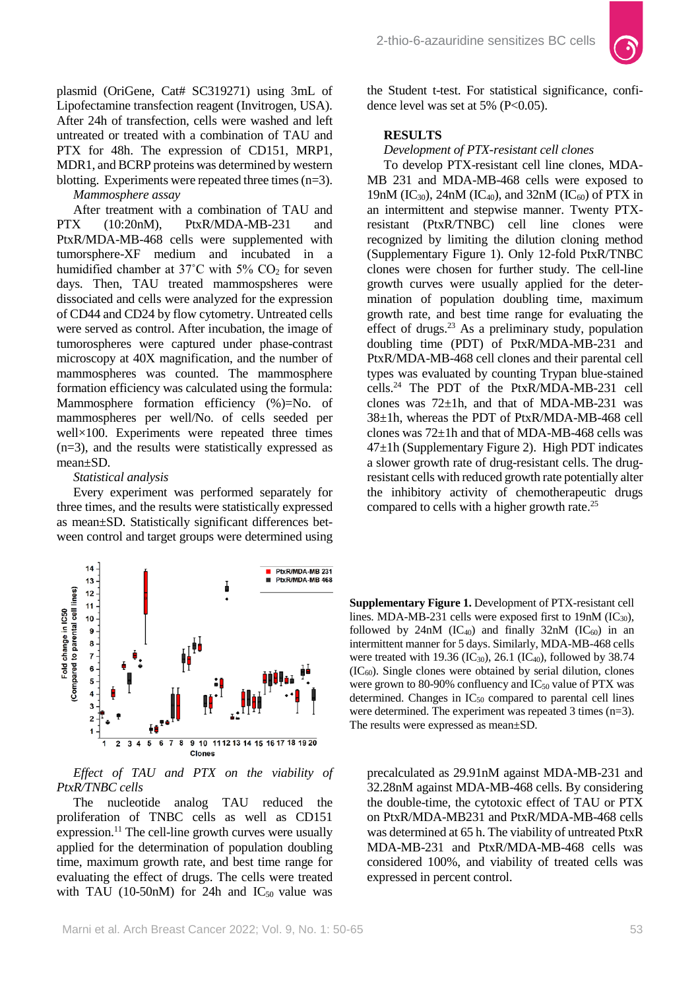plasmid (OriGene, Cat# SC319271) using 3mL of Lipofectamine transfection reagent (Invitrogen, USA). After 24h of transfection, cells were washed and left untreated or treated with a combination of TAU and PTX for 48h. The expression of CD151, MRP1, MDR1, and BCRP proteins was determined by western blotting. Experiments were repeated three times (n=3).

*Mammosphere assay*

After treatment with a combination of TAU and PTX (10:20nM), PtxR/MDA-MB-231 and PtxR/MDA-MB-468 cells were supplemented with tumorsphere-XF medium and incubated in a humidified chamber at 37°C with 5% CO<sub>2</sub> for seven days. Then, TAU treated mammospsheres were dissociated and cells were analyzed for the expression of CD44 and CD24 by flow cytometry. Untreated cells were served as control. After incubation, the image of tumorospheres were captured under phase-contrast microscopy at 40X magnification, and the number of mammospheres was counted. The mammosphere formation efficiency was calculated using the formula: Mammosphere formation efficiency (%)=No. of mammospheres per well/No. of cells seeded per well×100. Experiments were repeated three times (n=3), and the results were statistically expressed as mean±SD.

#### *Statistical analysis*

Every experiment was performed separately for three times, and the results were statistically expressed as mean±SD. Statistically significant differences between control and target groups were determined using



*Effect of TAU and PTX on the viability of PtxR/TNBC cells*

The nucleotide analog TAU reduced the proliferation of TNBC cells as well as CD151 expression.<sup>11</sup> The cell-line growth curves were usually applied for the determination of population doubling time, maximum growth rate, and best time range for evaluating the effect of drugs. The cells were treated with TAU (10-50nM) for 24h and  $IC_{50}$  value was the Student t-test. For statistical significance, confidence level was set at 5% ( $P<0.05$ ).

## **RESULTS**

*Development of PTX-resistant cell clones*

To develop PTX-resistant cell line clones, MDA-MB 231 and MDA-MB-468 cells were exposed to 19nM (IC<sub>30</sub>), 24nM (IC<sub>40</sub>), and 32nM (IC<sub>60</sub>) of PTX in an intermittent and stepwise manner. Twenty PTXresistant (PtxR/TNBC) cell line clones were recognized by limiting the dilution cloning method (Supplementary Figure 1). Only 12-fold PtxR/TNBC clones were chosen for further study. The cell-line growth curves were usually applied for the determination of population doubling time, maximum growth rate, and best time range for evaluating the effect of drugs.<sup>23</sup> As a preliminary study, population doubling time (PDT) of PtxR/MDA-MB-231 and PtxR/MDA-MB-468 cell clones and their parental cell types was evaluated by counting Trypan blue-stained cells.24 The PDT of the PtxR/MDA-MB-231 cell clones was  $72\pm 1h$ , and that of MDA-MB-231 was 38±1h, whereas the PDT of PtxR/MDA-MB-468 cell clones was 72±1h and that of MDA-MB-468 cells was 47±1h (Supplementary Figure 2). High PDT indicates a slower growth rate of drug-resistant cells. The drugresistant cells with reduced growth rate potentially alter the inhibitory activity of chemotherapeutic drugs compared to cells with a higher growth rate.25

**Supplementary Figure 1.** Development of PTX-resistant cell lines. MDA-MB-231 cells were exposed first to  $19nM (IC<sub>30</sub>)$ , followed by 24nM (IC<sub>40</sub>) and finally 32nM (IC<sub>60</sub>) in an intermittent manner for 5 days. Similarly, MDA-MB-468 cells were treated with 19.36 (IC<sub>30</sub>), 26.1 (IC<sub>40</sub>), followed by 38.74  $(IC_{60})$ . Single clones were obtained by serial dilution, clones were grown to 80-90% confluency and  $IC_{50}$  value of PTX was determined. Changes in  $IC_{50}$  compared to parental cell lines were determined. The experiment was repeated 3 times (n=3). The results were expressed as mean±SD.

precalculated as 29.91nM against MDA-MB-231 and 32.28nM against MDA-MB-468 cells. By considering the double-time, the cytotoxic effect of TAU or PTX on PtxR/MDA-MB231 and PtxR/MDA-MB-468 cells was determined at 65 h. The viability of untreated PtxR MDA-MB-231 and PtxR/MDA-MB-468 cells was considered 100%, and viability of treated cells was expressed in percent control.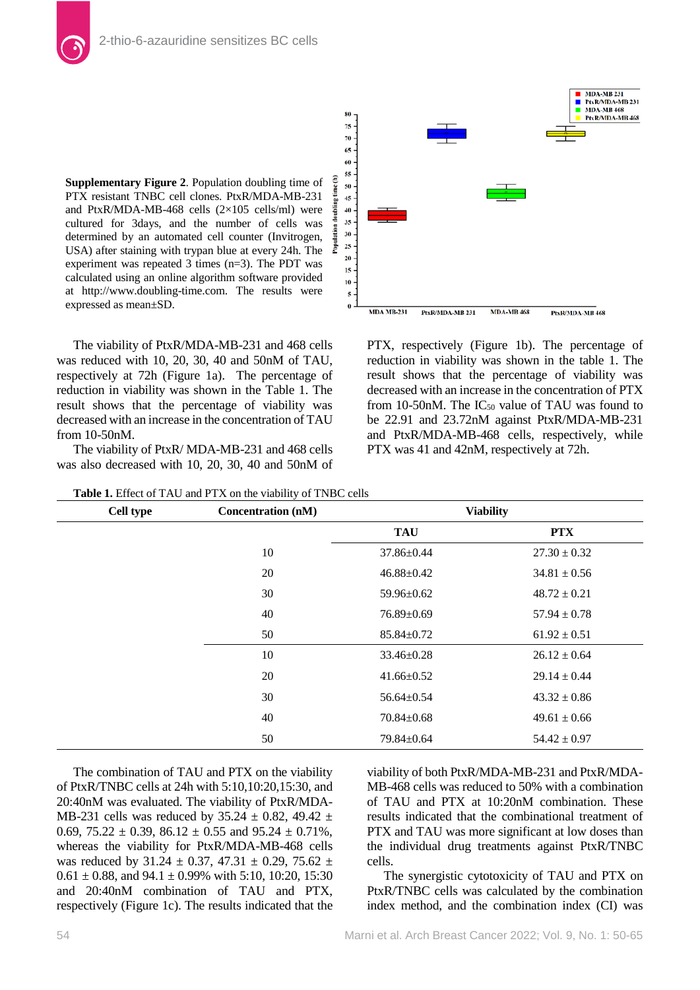**Supplementary Figure 2**. Population doubling time of PTX resistant TNBC cell clones. PtxR/MDA-MB-231 and PtxR/MDA-MB-468 cells (2×105 cells/ml) were cultured for 3days, and the number of cells was determined by an automated cell counter (Invitrogen, USA) after staining with trypan blue at every 24h. The experiment was repeated 3 times (n=3). The PDT was calculated using an online algorithm software provided at http://www.doubling-time.com. The results were expressed as mean±SD.

The viability of PtxR/MDA-MB-231 and 468 cells was reduced with 10, 20, 30, 40 and 50nM of TAU, respectively at 72h (Figure 1a). The percentage of reduction in viability was shown in the Table 1. The result shows that the percentage of viability was decreased with an increase in the concentration of TAU from 10-50nM.

The viability of PtxR/ MDA-MB-231 and 468 cells was also decreased with 10, 20, 30, 40 and 50nM of



PTX, respectively (Figure 1b). The percentage of reduction in viability was shown in the table 1. The result shows that the percentage of viability was decreased with an increase in the concentration of PTX from 10-50nM. The  $IC_{50}$  value of TAU was found to be 22.91 and 23.72nM against PtxR/MDA-MB-231 and PtxR/MDA-MB-468 cells, respectively, while PTX was 41 and 42nM, respectively at 72h.

| Table 1. Effect of TAU and PTX on the viability of TNBC cells |                           |                  |                  |
|---------------------------------------------------------------|---------------------------|------------------|------------------|
| Cell type                                                     | <b>Concentration (nM)</b> | <b>Viability</b> |                  |
|                                                               |                           | <b>TAU</b>       | <b>PTX</b>       |
|                                                               | 10                        | 37.86±0.44       | $27.30 \pm 0.32$ |
|                                                               | 20                        | $46.88 \pm 0.42$ | $34.81 \pm 0.56$ |
|                                                               | 30                        | 59.96±0.62       | $48.72 \pm 0.21$ |
|                                                               | 40                        | $76.89 \pm 0.69$ | $57.94 \pm 0.78$ |
|                                                               | 50                        | $85.84 \pm 0.72$ | $61.92 \pm 0.51$ |
|                                                               | 10                        | $33.46 \pm 0.28$ | $26.12 \pm 0.64$ |
|                                                               | 20                        | $41.66 \pm 0.52$ | $29.14 \pm 0.44$ |
|                                                               | 30                        | $56.64 \pm 0.54$ | $43.32 \pm 0.86$ |
|                                                               | 40                        | $70.84 \pm 0.68$ | $49.61 \pm 0.66$ |
|                                                               | 50                        | 79.84±0.64       | $54.42 \pm 0.97$ |

The combination of TAU and PTX on the viability of PtxR/TNBC cells at 24h with 5:10,10:20,15:30, and 20:40nM was evaluated. The viability of PtxR/MDA-MB-231 cells was reduced by 35.24  $\pm$  0.82, 49.42  $\pm$ 0.69,  $75.22 \pm 0.39$ ,  $86.12 \pm 0.55$  and  $95.24 \pm 0.71\%$ , whereas the viability for PtxR/MDA-MB-468 cells was reduced by 31.24  $\pm$  0.37, 47.31  $\pm$  0.29, 75.62  $\pm$  $0.61 \pm 0.88$ , and  $94.1 \pm 0.99\%$  with 5:10, 10:20, 15:30 and 20:40nM combination of TAU and PTX, respectively (Figure 1c). The results indicated that the

viability of both PtxR/MDA-MB-231 and PtxR/MDA-MB-468 cells was reduced to 50% with a combination of TAU and PTX at 10:20nM combination. These results indicated that the combinational treatment of PTX and TAU was more significant at low doses than the individual drug treatments against PtxR/TNBC cells.

The synergistic cytotoxicity of TAU and PTX on PtxR/TNBC cells was calculated by the combination index method, and the combination index (CI) was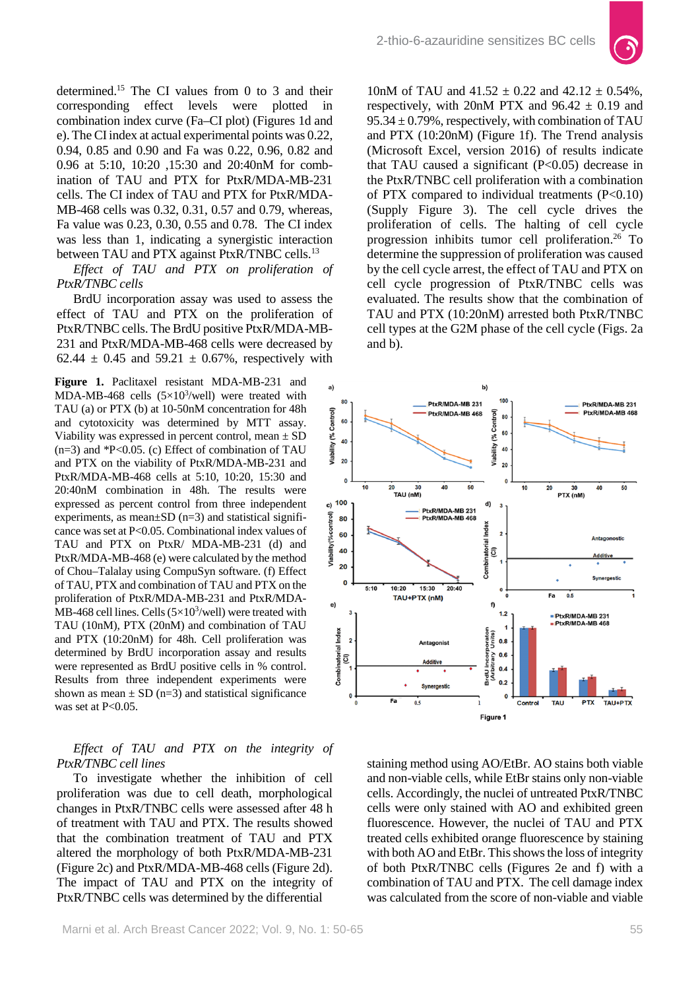

determined.<sup>15</sup> The CI values from 0 to 3 and their corresponding effect levels were plotted in corresponding effect levels were combination index curve (Fa–CI plot) (Figures 1d and e). The CI index at actual experimental points was 0.22, 0.94, 0.85 and 0.90 and Fa was 0.22, 0.96, 0.82 and 0.96 at 5:10, 10:20 ,15:30 and 20:40nM for combination of TAU and PTX for PtxR/MDA-MB-231 cells. The CI index of TAU and PTX for PtxR/MDA-MB-468 cells was 0.32, 0.31, 0.57 and 0.79, whereas, Fa value was 0.23, 0.30, 0.55 and 0.78. The CI index was less than 1, indicating a synergistic interaction between TAU and PTX against PtxR/TNBC cells.<sup>13</sup>

*Effect of TAU and PTX on proliferation of PtxR/TNBC cells*

BrdU incorporation assay was used to assess the effect of TAU and PTX on the proliferation of PtxR/TNBC cells. The BrdU positive PtxR/MDA-MB-231 and PtxR/MDA-MB-468 cells were decreased by 62.44  $\pm$  0.45 and 59.21  $\pm$  0.67%, respectively with

**Figure 1.** Paclitaxel resistant MDA-MB-231 and MDA-MB-468 cells  $(5\times10^3/\text{well})$  were treated with TAU (a) or PTX (b) at 10-50nM concentration for 48h and cytotoxicity was determined by MTT assay. Viability was expressed in percent control, mean  $\pm$  SD  $(n=3)$  and  $P<0.05$ . (c) Effect of combination of TAU and PTX on the viability of PtxR/MDA-MB-231 and PtxR/MDA-MB-468 cells at 5:10, 10:20, 15:30 and 20:40nM combination in 48h. The results were expressed as percent control from three independent experiments, as mean $\pm$ SD (n=3) and statistical significance was set at P<0.05. Combinational index values of TAU and PTX on PtxR/ MDA-MB-231 (d) and PtxR/MDA-MB-468 (e) were calculated by the method of Chou–Talalay using CompuSyn software. (f) Effect of TAU, PTX and combination of TAU and PTX on the proliferation of PtxR/MDA-MB-231 and PtxR/MDA-MB-468 cell lines. Cells  $(5\times10^3/\text{well})$  were treated with TAU (10nM), PTX (20nM) and combination of TAU and PTX (10:20nM) for 48h. Cell proliferation was determined by BrdU incorporation assay and results were represented as BrdU positive cells in % control. Results from three independent experiments were shown as mean  $\pm$  SD (n=3) and statistical significance was set at  $P<0.05$ .

## *Effect of TAU and PTX on the integrity of PtxR/TNBC cell lines*

To investigate whether the inhibition of cell proliferation was due to cell death, morphological changes in PtxR/TNBC cells were assessed after 48 h of treatment with TAU and PTX. The results showed that the combination treatment of TAU and PTX altered the morphology of both PtxR/MDA-MB-231 (Figure 2c) and PtxR/MDA-MB-468 cells (Figure 2d). The impact of TAU and PTX on the integrity of PtxR/TNBC cells was determined by the differential

10nM of TAU and  $41.52 \pm 0.22$  and  $42.12 \pm 0.54\%$ , respectively, with 20nM PTX and  $96.42 \pm 0.19$  and 95.34  $\pm$  0.79%, respectively, with combination of TAU and PTX (10:20nM) (Figure 1f). The Trend analysis (Microsoft Excel, version 2016) of results indicate that TAU caused a significant  $(P<0.05)$  decrease in the PtxR/TNBC cell proliferation with a combination of PTX compared to individual treatments  $(P<0.10)$ (Supply Figure 3). The cell cycle drives the proliferation of cells. The halting of cell cycle progression inhibits tumor cell proliferation.26 To determine the suppression of proliferation was caused by the cell cycle arrest, the effect of TAU and PTX on cell cycle progression of PtxR/TNBC cells was evaluated. The results show that the combination of TAU and PTX (10:20nM) arrested both PtxR/TNBC cell types at the G2M phase of the cell cycle (Figs. 2a and b).



staining method using AO/EtBr. AO stains both viable and non-viable cells, while EtBr stains only non-viable cells. Accordingly, the nuclei of untreated PtxR/TNBC cells were only stained with AO and exhibited green fluorescence. However, the nuclei of TAU and PTX treated cells exhibited orange fluorescence by staining with both AO and EtBr. This shows the loss of integrity of both PtxR/TNBC cells (Figures 2e and f) with a combination of TAU and PTX. The cell damage index was calculated from the score of non-viable and viable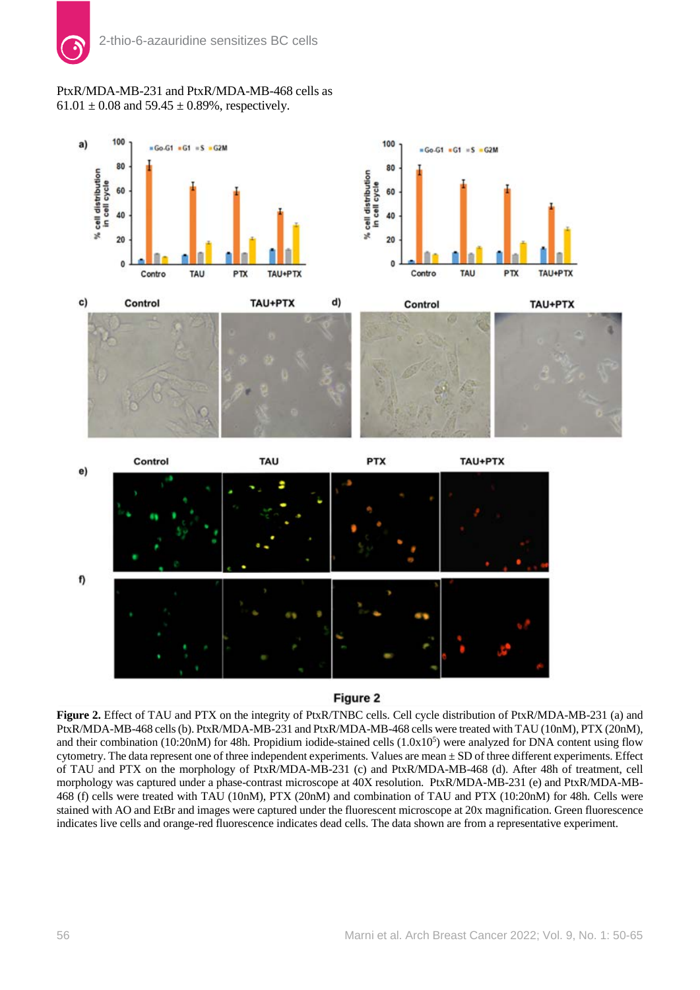# PtxR/MDA-MB-231 and PtxR/MDA-MB-468 cells as  $61.01 \pm 0.08$  and  $59.45 \pm 0.89$ %, respectively.



# Figure 2

**Figure 2.** Effect of TAU and PTX on the integrity of PtxR/TNBC cells. Cell cycle distribution of PtxR/MDA-MB-231 (a) and PtxR/MDA-MB-468 cells (b). PtxR/MDA-MB-231 and PtxR/MDA-MB-468 cells were treated with TAU (10nM), PTX (20nM), and their combination (10:20nM) for 48h. Propidium iodide-stained cells (1.0x10<sup>5</sup>) were analyzed for DNA content using flow cytometry. The data represent one of three independent experiments. Values are mean  $\pm$  SD of three different experiments. Effect of TAU and PTX on the morphology of PtxR/MDA-MB-231 (c) and PtxR/MDA-MB-468 (d). After 48h of treatment, cell morphology was captured under a phase-contrast microscope at 40X resolution. PtxR/MDA-MB-231 (e) and PtxR/MDA-MB-468 (f) cells were treated with TAU (10nM), PTX (20nM) and combination of TAU and PTX (10:20nM) for 48h. Cells were stained with AO and EtBr and images were captured under the fluorescent microscope at 20x magnification. Green fluorescence indicates live cells and orange-red fluorescence indicates dead cells. The data shown are from a representative experiment.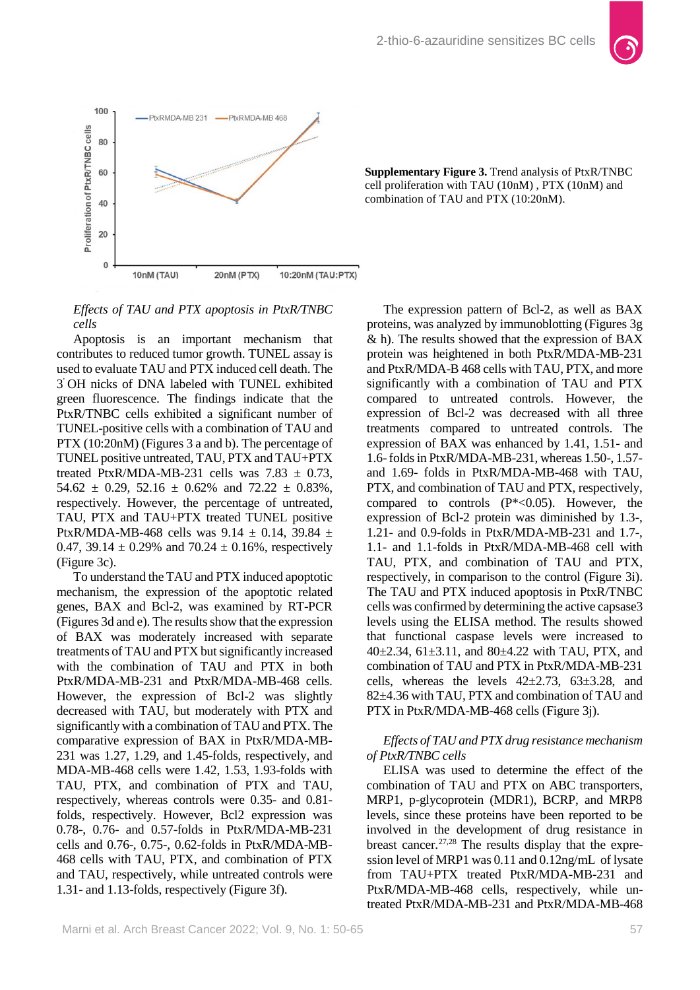



**Supplementary Figure 3.** Trend analysis of PtxR/TNBC cell proliferation with TAU (10nM) , PTX (10nM) and combination of TAU and PTX (10:20nM).

*Effects of TAU and PTX apoptosis in PtxR/TNBC cells*

Apoptosis is an important mechanism that contributes to reduced tumor growth. TUNEL assay is used to evaluate TAU and PTX induced cell death. The 3' OH nicks of DNA labeled with TUNEL exhibited green fluorescence. The findings indicate that the PtxR/TNBC cells exhibited a significant number of TUNEL-positive cells with a combination of TAU and PTX (10:20nM) (Figures 3 a and b). The percentage of TUNEL positive untreated, TAU, PTX and TAU+PTX treated PtxR/MDA-MB-231 cells was  $7.83 \pm 0.73$ ,  $54.62 \pm 0.29$ ,  $52.16 \pm 0.62\%$  and  $72.22 \pm 0.83\%$ , respectively. However, the percentage of untreated, TAU, PTX and TAU+PTX treated TUNEL positive PtxR/MDA-MB-468 cells was  $9.14 \pm 0.14$ , 39.84  $\pm$ 0.47, 39.14  $\pm$  0.29% and 70.24  $\pm$  0.16%, respectively (Figure 3c).

To understand the TAU and PTX induced apoptotic mechanism, the expression of the apoptotic related genes, BAX and Bcl-2, was examined by RT-PCR (Figures 3d and e). The results show that the expression of BAX was moderately increased with separate treatments of TAU and PTX but significantly increased with the combination of TAU and PTX in both PtxR/MDA-MB-231 and PtxR/MDA-MB-468 cells. However, the expression of Bcl-2 was slightly decreased with TAU, but moderately with PTX and significantly with a combination of TAU and PTX. The comparative expression of BAX in PtxR/MDA-MB-231 was 1.27, 1.29, and 1.45-folds, respectively, and MDA-MB-468 cells were 1.42, 1.53, 1.93-folds with TAU, PTX, and combination of PTX and TAU, respectively, whereas controls were 0.35- and 0.81 folds, respectively. However, Bcl2 expression was 0.78-, 0.76- and 0.57-folds in PtxR/MDA-MB-231 cells and 0.76-, 0.75-, 0.62-folds in PtxR/MDA-MB-468 cells with TAU, PTX, and combination of PTX and TAU, respectively, while untreated controls were 1.31- and 1.13-folds, respectively (Figure 3f).

The expression pattern of Bcl-2, as well as BAX proteins, was analyzed by immunoblotting (Figures 3g & h). The results showed that the expression of BAX protein was heightened in both PtxR/MDA-MB-231 and PtxR/MDA-B 468 cells with TAU, PTX, and more significantly with a combination of TAU and PTX compared to untreated controls. However, the expression of Bcl-2 was decreased with all three treatments compared to untreated controls. The expression of BAX was enhanced by 1.41, 1.51- and 1.6-folds in PtxR/MDA-MB-231, whereas 1.50-, 1.57 and 1.69- folds in PtxR/MDA-MB-468 with TAU, PTX, and combination of TAU and PTX, respectively, compared to controls  $(P^*<0.05)$ . However, the expression of Bcl-2 protein was diminished by 1.3-, 1.21- and 0.9-folds in PtxR/MDA-MB-231 and 1.7-, 1.1- and 1.1-folds in PtxR/MDA-MB-468 cell with TAU, PTX, and combination of TAU and PTX, respectively, in comparison to the control (Figure 3i). The TAU and PTX induced apoptosis in PtxR/TNBC cells was confirmed by determining the active capsase3 levels using the ELISA method. The results showed that functional caspase levels were increased to 40±2.34, 61±3.11, and 80±4.22 with TAU, PTX, and combination of TAU and PTX in PtxR/MDA-MB-231 cells, whereas the levels  $42\pm2.73$ ,  $63\pm3.28$ , and 82±4.36 with TAU, PTX and combination of TAU and PTX in PtxR/MDA-MB-468 cells (Figure 3j).

# *Effects of TAU and PTX drug resistance mechanism of PtxR/TNBC cells*

ELISA was used to determine the effect of the combination of TAU and PTX on ABC transporters, MRP1, p-glycoprotein (MDR1), BCRP, and MRP8 levels, since these proteins have been reported to be involved in the development of drug resistance in breast cancer.<sup>27,28</sup> The results display that the expression level of MRP1 was 0.11 and 0.12ng/mL of lysate from TAU+PTX treated PtxR/MDA-MB-231 and PtxR/MDA-MB-468 cells, respectively, while untreated PtxR/MDA-MB-231 and PtxR/MDA-MB-468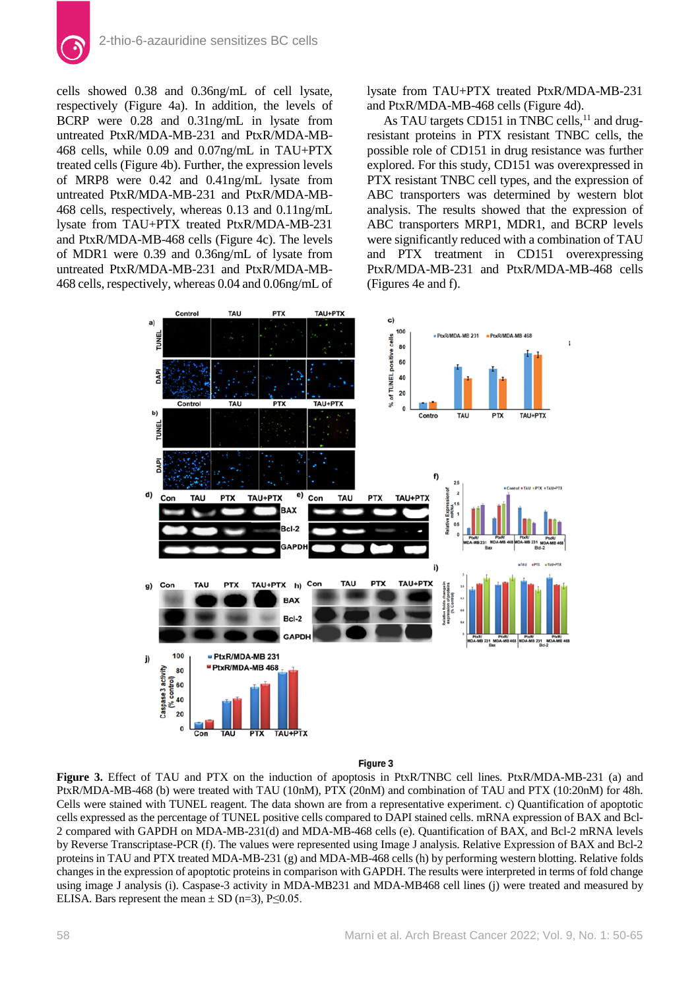

cells showed 0.38 and 0.36ng/mL of cell lysate, respectively (Figure 4a). In addition, the levels of BCRP were 0.28 and 0.31ng/mL in lysate from untreated PtxR/MDA-MB-231 and PtxR/MDA-MB-468 cells, while 0.09 and 0.07ng/mL in TAU+PTX treated cells (Figure 4b). Further, the expression levels of MRP8 were 0.42 and 0.41ng/mL lysate from untreated PtxR/MDA-MB-231 and PtxR/MDA-MB-468 cells, respectively, whereas 0.13 and 0.11ng/mL lysate from TAU+PTX treated PtxR/MDA-MB-231 and PtxR/MDA-MB-468 cells (Figure 4c). The levels of MDR1 were 0.39 and 0.36ng/mL of lysate from untreated PtxR/MDA-MB-231 and PtxR/MDA-MB-468 cells, respectively, whereas 0.04 and 0.06ng/mL of

lysate from TAU+PTX treated PtxR/MDA-MB-231 and PtxR/MDA-MB-468 cells (Figure 4d).

As TAU targets CD151 in TNBC cells,<sup>11</sup> and drugresistant proteins in PTX resistant TNBC cells, the possible role of CD151 in drug resistance was further explored. For this study, CD151 was overexpressed in PTX resistant TNBC cell types, and the expression of ABC transporters was determined by western blot analysis. The results showed that the expression of ABC transporters MRP1, MDR1, and BCRP levels were significantly reduced with a combination of TAU and PTX treatment in CD151 overexpressing PtxR/MDA-MB-231 and PtxR/MDA-MB-468 cells (Figures 4e and f).



#### Figure 3

**Figure 3.** Effect of TAU and PTX on the induction of apoptosis in PtxR/TNBC cell lines. PtxR/MDA-MB-231 (a) and PtxR/MDA-MB-468 (b) were treated with TAU (10nM), PTX (20nM) and combination of TAU and PTX (10:20nM) for 48h. Cells were stained with TUNEL reagent. The data shown are from a representative experiment. c) Quantification of apoptotic cells expressed as the percentage of TUNEL positive cells compared to DAPI stained cells. mRNA expression of BAX and Bcl-2 compared with GAPDH on MDA-MB-231(d) and MDA-MB-468 cells (e). Quantification of BAX, and Bcl-2 mRNA levels by Reverse Transcriptase-PCR (f). The values were represented using Image J analysis. Relative Expression of BAX and Bcl-2 proteins in TAU and PTX treated MDA-MB-231 (g) and MDA-MB-468 cells (h) by performing western blotting. Relative folds changes in the expression of apoptotic proteins in comparison with GAPDH. The results were interpreted in terms of fold change using image J analysis (i). Caspase-3 activity in MDA-MB231 and MDA-MB468 cell lines (j) were treated and measured by ELISA. Bars represent the mean  $\pm$  SD (n=3), P $\leq$ 0.05.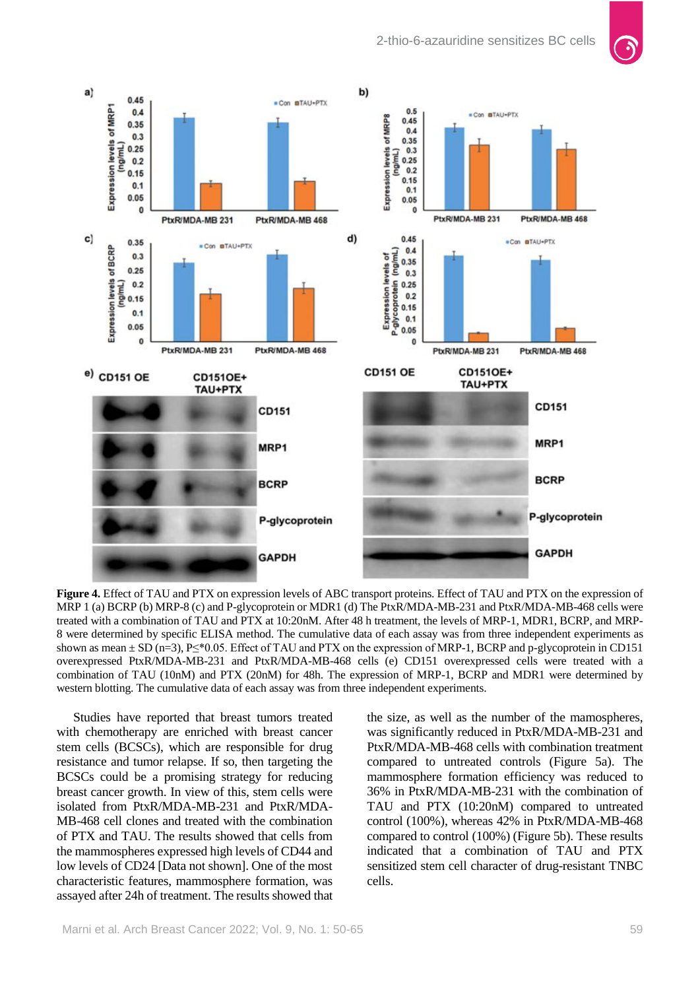

**Figure 4.** Effect of TAU and PTX on expression levels of ABC transport proteins. Effect of TAU and PTX on the expression of MRP 1 (a) BCRP (b) MRP-8 (c) and P-glycoprotein or MDR1 (d) The PtxR/MDA-MB-231 and PtxR/MDA-MB-468 cells were treated with a combination of TAU and PTX at 10:20nM. After 48 h treatment, the levels of MRP-1, MDR1, BCRP, and MRP-8 were determined by specific ELISA method. The cumulative data of each assay was from three independent experiments as shown as mean  $\pm$  SD (n=3), P $\leq$ \*0.05. Effect of TAU and PTX on the expression of MRP-1, BCRP and p-glycoprotein in CD151 overexpressed PtxR/MDA-MB-231 and PtxR/MDA-MB-468 cells (e) CD151 overexpressed cells were treated with a combination of TAU (10nM) and PTX (20nM) for 48h. The expression of MRP-1, BCRP and MDR1 were determined by western blotting. The cumulative data of each assay was from three independent experiments.

Studies have reported that breast tumors treated with chemotherapy are enriched with breast cancer stem cells (BCSCs), which are responsible for drug resistance and tumor relapse. If so, then targeting the BCSCs could be a promising strategy for reducing breast cancer growth. In view of this, stem cells were isolated from PtxR/MDA-MB-231 and PtxR/MDA-MB-468 cell clones and treated with the combination of PTX and TAU. The results showed that cells from the mammospheres expressed high levels of CD44 and low levels of CD24 [Data not shown]. One of the most characteristic features, mammosphere formation, was assayed after 24h of treatment. The results showed that

the size, as well as the number of the mamospheres, was significantly reduced in PtxR/MDA-MB-231 and PtxR/MDA-MB-468 cells with combination treatment compared to untreated controls (Figure 5a). The mammosphere formation efficiency was reduced to 36% in PtxR/MDA-MB-231 with the combination of TAU and PTX (10:20nM) compared to untreated control (100%), whereas 42% in PtxR/MDA-MB-468 compared to control (100%) (Figure 5b). These results indicated that a combination of TAU and PTX sensitized stem cell character of drug-resistant TNBC cells.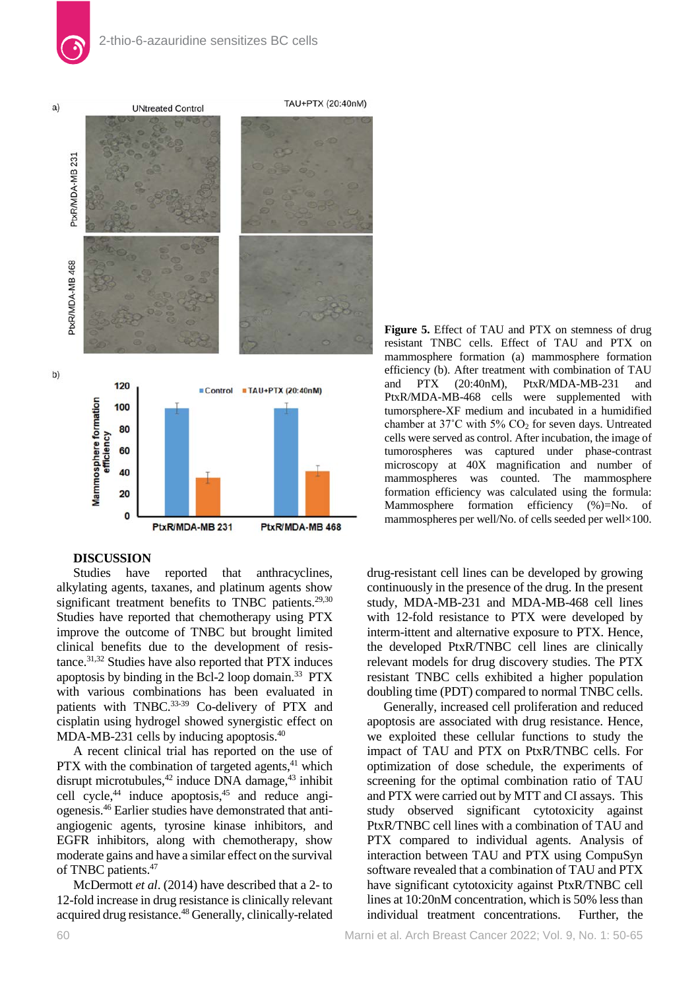

## **DISCUSSION**

Studies have reported that anthracyclines, alkylating agents, taxanes, and platinum agents show significant treatment benefits to TNBC patients. $29,30$ Studies have reported that chemotherapy using PTX improve the outcome of TNBC but brought limited clinical benefits due to the development of resistance.<sup>31,32</sup> Studies have also reported that PTX induces apoptosis by binding in the Bcl-2 loop domain.<sup>33</sup> PTX with various combinations has been evaluated in patients with TNBC.<sup>33-39</sup> Co-delivery of PTX and cisplatin using hydrogel showed synergistic effect on MDA-MB-231 cells by inducing apoptosis.<sup>40</sup>

A recent clinical trial has reported on the use of PTX with the combination of targeted agents, $41$  which disrupt microtubules, $42$  induce DNA damage, $43$  inhibit cell cycle, $44$  induce apoptosis, $45$  and reduce angiogenesis.46 Earlier studies have demonstrated that antiangiogenic agents, tyrosine kinase inhibitors, and EGFR inhibitors, along with chemotherapy, show moderate gains and have a similar effect on the survival of TNBC patients.<sup>47</sup>

McDermott *et al*. (2014) have described that a 2- to 12-fold increase in drug resistance is clinically relevant acquired drug resistance.<sup>48</sup> Generally, clinically-related

**Figure 5.** Effect of TAU and PTX on stemness of drug resistant TNBC cells. Effect of TAU and PTX on mammosphere formation (a) mammosphere formation efficiency (b). After treatment with combination of TAU and PTX (20:40nM), PtxR/MDA-MB-231 and PtxR/MDA-MB-468 cells were supplemented with tumorsphere-XF medium and incubated in a humidified chamber at  $37^{\circ}$ C with  $5\%$  CO<sub>2</sub> for seven days. Untreated cells were served as control. After incubation, the image of tumorospheres was captured under phase-contrast microscopy at 40X magnification and number of mammospheres was counted. The mammosphere formation efficiency was calculated using the formula: Mammosphere formation efficiency (%)=No. of mammospheres per well/No. of cells seeded per well×100.

drug-resistant cell lines can be developed by growing continuously in the presence of the drug. In the present study, MDA-MB-231 and MDA-MB-468 cell lines with 12-fold resistance to PTX were developed by interm-ittent and alternative exposure to PTX. Hence, the developed PtxR/TNBC cell lines are clinically relevant models for drug discovery studies. The PTX resistant TNBC cells exhibited a higher population doubling time (PDT) compared to normal TNBC cells.

Generally, increased cell proliferation and reduced apoptosis are associated with drug resistance. Hence, we exploited these cellular functions to study the impact of TAU and PTX on PtxR/TNBC cells. For optimization of dose schedule, the experiments of screening for the optimal combination ratio of TAU and PTX were carried out by MTT and CI assays. This study observed significant cytotoxicity against PtxR/TNBC cell lines with a combination of TAU and PTX compared to individual agents. Analysis of interaction between TAU and PTX using CompuSyn software revealed that a combination of TAU and PTX have significant cytotoxicity against PtxR/TNBC cell lines at 10:20nM concentration, which is 50% less than individual treatment concentrations. Further, the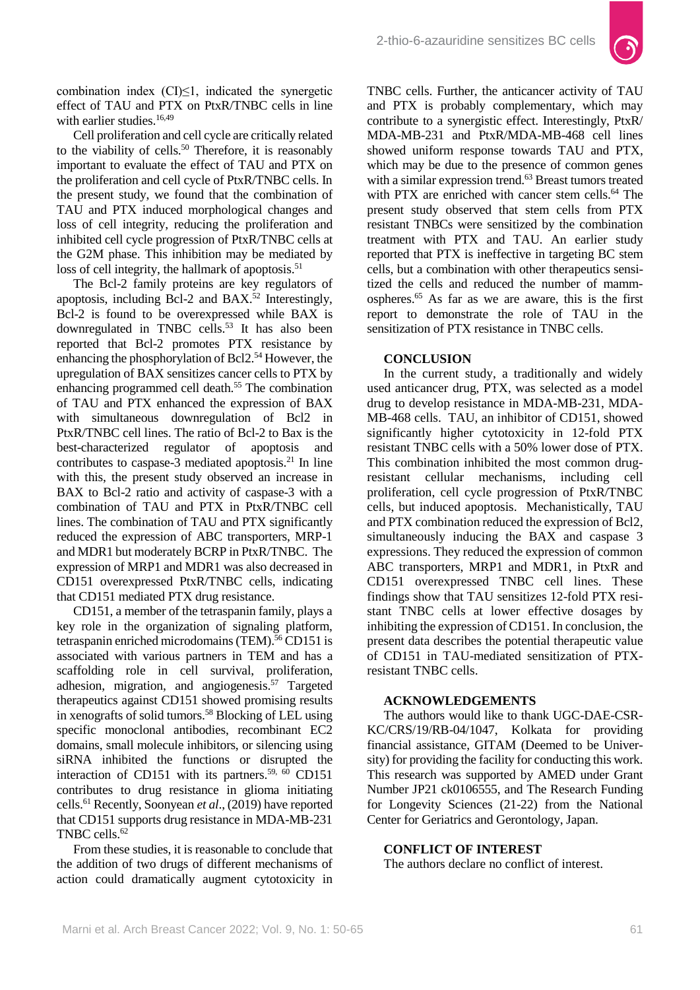

combination index  $(CI)\leq 1$ , indicated the synergetic effect of TAU and PTX on PtxR/TNBC cells in line with earlier studies.<sup>16,49</sup>

Cell proliferation and cell cycle are critically related to the viability of cells.<sup>50</sup> Therefore, it is reasonably important to evaluate the effect of TAU and PTX on the proliferation and cell cycle of PtxR/TNBC cells. In the present study, we found that the combination of TAU and PTX induced morphological changes and loss of cell integrity, reducing the proliferation and inhibited cell cycle progression of PtxR/TNBC cells at the G2M phase. This inhibition may be mediated by loss of cell integrity, the hallmark of apoptosis. $51$ 

The Bcl-2 family proteins are key regulators of apoptosis, including Bcl-2 and BAX.<sup>52</sup> Interestingly, Bcl-2 is found to be overexpressed while BAX is downregulated in TNBC cells.<sup>53</sup> It has also been reported that Bcl-2 promotes PTX resistance by enhancing the phosphorylation of Bcl2.<sup>54</sup> However, the upregulation of BAX sensitizes cancer cells to PTX by enhancing programmed cell death.55 The combination of TAU and PTX enhanced the expression of BAX with simultaneous downregulation of Bcl2 in PtxR/TNBC cell lines. The ratio of Bcl-2 to Bax is the best-characterized regulator of apoptosis and contributes to caspase-3 mediated apoptosis.<sup>21</sup> In line with this, the present study observed an increase in BAX to Bcl-2 ratio and activity of caspase-3 with a combination of TAU and PTX in PtxR/TNBC cell lines. The combination of TAU and PTX significantly reduced the expression of ABC transporters, MRP-1 and MDR1 but moderately BCRP in PtxR/TNBC. The expression of MRP1 and MDR1 was also decreased in CD151 overexpressed PtxR/TNBC cells, indicating that CD151 mediated PTX drug resistance.

CD151, a member of the tetraspanin family, plays a key role in the organization of signaling platform, tetraspanin enriched microdomains (TEM).<sup>56</sup> CD151 is associated with various partners in TEM and has a scaffolding role in cell survival, proliferation, adhesion, migration, and angiogenesis.57 Targeted therapeutics against CD151 showed promising results in xenografts of solid tumors.<sup>58</sup> Blocking of LEL using specific monoclonal antibodies, recombinant EC2 domains, small molecule inhibitors, or silencing using siRNA inhibited the functions or disrupted the interaction of CD151 with its partners.<sup>59,  $\overline{60}$ </sup> CD151 contributes to drug resistance in glioma initiating cells.61 Recently, Soonyean *et al*., (2019) have reported that CD151 supports drug resistance in MDA-MB-231 TNBC cells.62

From these studies, it is reasonable to conclude that the addition of two drugs of different mechanisms of action could dramatically augment cytotoxicity in

TNBC cells. Further, the anticancer activity of TAU and PTX is probably complementary, which may contribute to a synergistic effect. Interestingly, PtxR/ MDA-MB-231 and PtxR/MDA-MB-468 cell lines showed uniform response towards TAU and PTX, which may be due to the presence of common genes with a similar expression trend.<sup>63</sup> Breast tumors treated with PTX are enriched with cancer stem cells.<sup>64</sup> The present study observed that stem cells from PTX resistant TNBCs were sensitized by the combination treatment with PTX and TAU. An earlier study reported that PTX is ineffective in targeting BC stem cells, but a combination with other therapeutics sensitized the cells and reduced the number of mammospheres.65 As far as we are aware, this is the first report to demonstrate the role of TAU in the sensitization of PTX resistance in TNBC cells.

# **CONCLUSION**

In the current study, a traditionally and widely used anticancer drug, PTX, was selected as a model drug to develop resistance in MDA-MB-231, MDA-MB-468 cells. TAU, an inhibitor of CD151, showed significantly higher cytotoxicity in 12-fold PTX resistant TNBC cells with a 50% lower dose of PTX. This combination inhibited the most common drugresistant cellular mechanisms, including cell proliferation, cell cycle progression of PtxR/TNBC cells, but induced apoptosis. Mechanistically, TAU and PTX combination reduced the expression of Bcl2, simultaneously inducing the BAX and caspase 3 expressions. They reduced the expression of common ABC transporters, MRP1 and MDR1, in PtxR and CD151 overexpressed TNBC cell lines. These findings show that TAU sensitizes 12-fold PTX resistant TNBC cells at lower effective dosages by inhibiting the expression of CD151. In conclusion, the present data describes the potential therapeutic value of CD151 in TAU-mediated sensitization of PTXresistant TNBC cells.

## **ACKNOWLEDGEMENTS**

The authors would like to thank UGC-DAE-CSR-KC/CRS/19/RB-04/1047, Kolkata for providing financial assistance, GITAM (Deemed to be University) for providing the facility for conducting this work. This research was supported by AMED under Grant Number JP21 ck0106555, and The Research Funding for Longevity Sciences (21-22) from the National Center for Geriatrics and Gerontology, Japan.

## **CONFLICT OF INTEREST**

The authors declare no conflict of interest.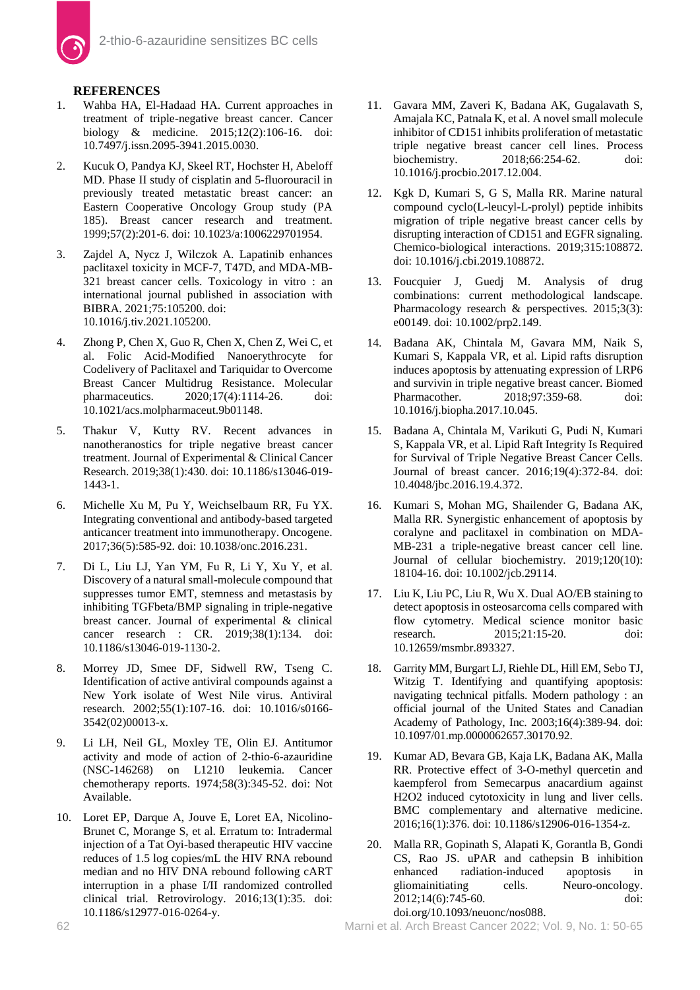

# **REFERENCES**

- 1. Wahba HA, El-Hadaad HA. Current approaches in treatment of triple-negative breast cancer. Cancer biology & medicine. 2015;12(2):106-16. doi: [10.7497/j.issn.2095-3941.2015.0030.](https://doi.org/10.7497/j.issn.2095-3941.2015.0030)
- 2. Kucuk O, Pandya KJ, Skeel RT, Hochster H, Abeloff MD. Phase II study of cisplatin and 5-fluorouracil in previously treated metastatic breast cancer: an Eastern Cooperative Oncology Group study (PA 185). Breast cancer research and treatment. 1999;57(2):201-6. doi: [10.1023/a:1006229701954.](https://doi.org/10.1023/a:1006229701954)
- 3. Zajdel A, Nycz J, Wilczok A. Lapatinib enhances paclitaxel toxicity in MCF-7, T47D, and MDA-MB-321 breast cancer cells. Toxicology in vitro : an international journal published in association with BIBRA. 2021;75:105200. doi: [10.1016/j.tiv.2021.105200.](https://doi.org/10.1016/j.tiv.2021.105200)
- 4. Zhong P, Chen X, Guo R, Chen X, Chen Z, Wei C, et al. Folic Acid-Modified Nanoerythrocyte for Codelivery of Paclitaxel and Tariquidar to Overcome Breast Cancer Multidrug Resistance. Molecular pharmaceutics. 2020;17(4):1114-26. doi: [10.1021/acs.molpharmaceut.9b01148.](https://doi.org/10.1021/acs.molpharmaceut.9b01148)
- 5. Thakur V, Kutty RV. Recent advances in nanotheranostics for triple negative breast cancer treatment. Journal of Experimental & Clinical Cancer Research. 2019;38(1):430. doi: [10.1186/s13046-019-](https://doi.org/10.1186/s13046-019-1443-1) [1443-1.](https://doi.org/10.1186/s13046-019-1443-1)
- 6. Michelle Xu M, Pu Y, Weichselbaum RR, Fu YX. Integrating conventional and antibody-based targeted anticancer treatment into immunotherapy. Oncogene. 2017;36(5):585-92. doi[: 10.1038/onc.2016.231.](https://doi.org/10.1038/onc.2016.231)
- 7. Di L, Liu LJ, Yan YM, Fu R, Li Y, Xu Y, et al. Discovery of a natural small-molecule compound that suppresses tumor EMT, stemness and metastasis by inhibiting TGFbeta/BMP signaling in triple-negative breast cancer. Journal of experimental & clinical cancer research : CR. 2019;38(1):134. doi: [10.1186/s13046-019-1130-2.](https://doi.org/10.1186/s13046-019-1130-2)
- 8. Morrey JD, Smee DF, Sidwell RW, Tseng C. Identification of active antiviral compounds against a New York isolate of West Nile virus. Antiviral research. 2002;55(1):107-16. doi: [10.1016/s0166-](https://doi.org/10.1016/s0166-3542(02)00013-x) [3542\(02\)00013-x.](https://doi.org/10.1016/s0166-3542(02)00013-x)
- 9. Li LH, Neil GL, Moxley TE, Olin EJ. Antitumor activity and mode of action of 2-thio-6-azauridine (NSC-146268) on L1210 leukemia. Cancer chemotherapy reports. 1974;58(3):345-52. doi: Not Available.
- 10. Loret EP, Darque A, Jouve E, Loret EA, Nicolino-Brunet C, Morange S, et al. Erratum to: Intradermal injection of a Tat Oyi-based therapeutic HIV vaccine reduces of 1.5 log copies/mL the HIV RNA rebound median and no HIV DNA rebound following cART interruption in a phase I/II randomized controlled clinical trial. Retrovirology. 2016;13(1):35. doi: [10.1186/s12977-016-0264-y.](https://doi.org/10.1186/s12977-016-0264-y)
- 11. Gavara MM, Zaveri K, Badana AK, Gugalavath S, Amajala KC, Patnala K, et al. A novel small molecule inhibitor of CD151 inhibits proliferation of metastatic triple negative breast cancer cell lines. Process biochemistry. 2018;66:254-62. doi: [10.1016/j.procbio.2017.12.004.](https://doi.org/10.1016/j.procbio.2017.12.004)
- 12. Kgk D, Kumari S, G S, Malla RR. Marine natural compound cyclo(L-leucyl-L-prolyl) peptide inhibits migration of triple negative breast cancer cells by disrupting interaction of CD151 and EGFR signaling. Chemico-biological interactions. 2019;315:108872. doi: [10.1016/j.cbi.2019.108872.](https://doi.org/10.1016/j.cbi.2019.108872)
- 13. Foucquier J, Guedj M. Analysis of drug combinations: current methodological landscape. Pharmacology research & perspectives. 2015;3(3): e00149. doi: [10.1002/prp2.149.](https://doi.org/10.1002/prp2.149)
- 14. Badana AK, Chintala M, Gavara MM, Naik S, Kumari S, Kappala VR, et al. Lipid rafts disruption induces apoptosis by attenuating expression of LRP6 and survivin in triple negative breast cancer. Biomed<br>Pharmacother. 2018:97:359-68. doi: 2018;97:359-68. doi: [10.1016/j.biopha.2017.10.045.](https://doi.org/10.1016/j.biopha.2017.10.045)
- 15. Badana A, Chintala M, Varikuti G, Pudi N, Kumari S, Kappala VR, et al. Lipid Raft Integrity Is Required for Survival of Triple Negative Breast Cancer Cells. Journal of breast cancer. 2016;19(4):372-84. doi: [10.4048/jbc.2016.19.4.372.](https://doi.org/10.4048/jbc.2016.19.4.372)
- 16. Kumari S, Mohan MG, Shailender G, Badana AK, Malla RR. Synergistic enhancement of apoptosis by coralyne and paclitaxel in combination on MDA-MB-231 a triple-negative breast cancer cell line. Journal of cellular biochemistry. 2019;120(10): 18104-16. doi: [10.1002/jcb.29114.](https://doi.org/10.1002/jcb.29114)
- 17. Liu K, Liu PC, Liu R, Wu X. Dual AO/EB staining to detect apoptosis in osteosarcoma cells compared with flow cytometry. Medical science monitor basic research. 2015;21:15-20. doi: [10.12659/msmbr.893327.](https://doi.org/10.12659/msmbr.893327)
- 18. Garrity MM, Burgart LJ, Riehle DL, Hill EM, Sebo TJ, Witzig T. Identifying and quantifying apoptosis: navigating technical pitfalls. Modern pathology : an official journal of the United States and Canadian Academy of Pathology, Inc. 2003;16(4):389-94. doi: [10.1097/01.mp.0000062657.30170.92.](https://doi.org/10.1097/01.mp.0000062657.30170.92)
- 19. Kumar AD, Bevara GB, Kaja LK, Badana AK, Malla RR. Protective effect of 3-O-methyl quercetin and kaempferol from Semecarpus anacardium against H2O2 induced cytotoxicity in lung and liver cells. BMC complementary and alternative medicine. 2016;16(1):376. doi: [10.1186/s12906-016-1354-z.](https://doi.org/10.1186/s12906-016-1354-z)
- 20. Malla RR, Gopinath S, Alapati K, Gorantla B, Gondi CS, Rao JS. uPAR and cathepsin B inhibition enhanced radiation-induced apoptosis in gliomainitiating cells. Neuro-oncology. 2012;14(6):745-60. doi: [doi.org/10.1093/neuonc/nos088.](https://doi.org/10.1093/neuonc/nos088)

62 Marni et al. Arch Breast Cancer 2022; Vol. 9, No. 1: 50-65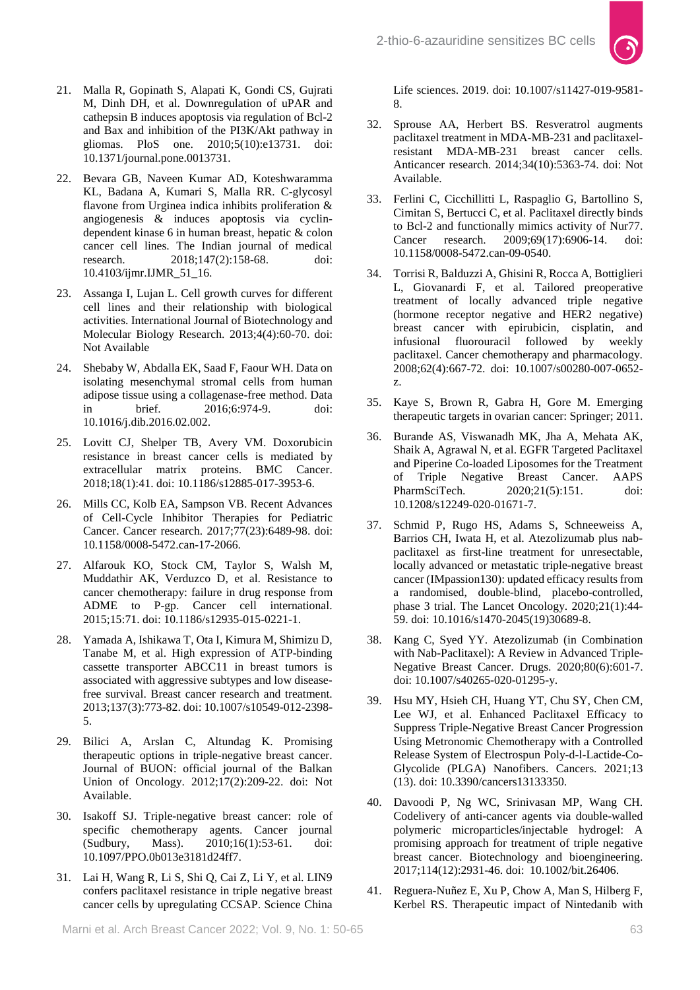

- 21. Malla R, Gopinath S, Alapati K, Gondi CS, Gujrati M, Dinh DH, et al. Downregulation of uPAR and cathepsin B induces apoptosis via regulation of Bcl-2 and Bax and inhibition of the PI3K/Akt pathway in gliomas. PloS one. 2010;5(10):e13731. doi: [10.1371/journal.pone.0013731.](https://doi.org/10.1371/journal.pone.0013731)
- 22. Bevara GB, Naveen Kumar AD, Koteshwaramma KL, Badana A, Kumari S, Malla RR. C-glycosyl flavone from Urginea indica inhibits proliferation & angiogenesis & induces apoptosis via cyclindependent kinase 6 in human breast, hepatic & colon cancer cell lines. The Indian journal of medical research. 2018;147(2):158-68. doi: [10.4103/ijmr.IJMR\\_51\\_16.](https://doi.org/10.4103/ijmr.IJMR_51_16)
- 23. Assanga I, Lujan L. Cell growth curves for different cell lines and their relationship with biological activities. International Journal of Biotechnology and Molecular Biology Research. 2013;4(4):60-70. doi: Not Available
- 24. Shebaby W, Abdalla EK, Saad F, Faour WH. Data on isolating mesenchymal stromal cells from human adipose tissue using a collagenase-free method. Data in brief. 2016;6:974-9. doi: [10.1016/j.dib.2016.02.002.](https://doi.org/10.1016/j.dib.2016.02.002)
- 25. Lovitt CJ, Shelper TB, Avery VM. Doxorubicin resistance in breast cancer cells is mediated by extracellular matrix proteins. BMC Cancer. 2018;18(1):41. doi: [10.1186/s12885-017-3953-6.](https://doi.org/10.1186/s12885-017-3953-6)
- 26. Mills CC, Kolb EA, Sampson VB. Recent Advances of Cell-Cycle Inhibitor Therapies for Pediatric Cancer. Cancer research. 2017;77(23):6489-98. doi: [10.1158/0008-5472.can-17-2066.](https://doi.org/10.1158/0008-5472.can-17-2066)
- 27. Alfarouk KO, Stock CM, Taylor S, Walsh M, Muddathir AK, Verduzco D, et al. Resistance to cancer chemotherapy: failure in drug response from ADME to P-gp. Cancer cell international. 2015;15:71. doi: [10.1186/s12935-015-0221-1.](https://doi.org/10.1186/s12935-015-0221-1)
- 28. Yamada A, Ishikawa T, Ota I, Kimura M, Shimizu D, Tanabe M, et al. High expression of ATP-binding cassette transporter ABCC11 in breast tumors is associated with aggressive subtypes and low diseasefree survival. Breast cancer research and treatment. 2013;137(3):773-82. doi[: 10.1007/s10549-012-2398-](https://doi.org/10.1007/s10549-012-2398-5) [5.](https://doi.org/10.1007/s10549-012-2398-5)
- 29. Bilici A, Arslan C, Altundag K. Promising therapeutic options in triple-negative breast cancer. Journal of BUON: official journal of the Balkan Union of Oncology. 2012;17(2):209-22. doi: Not Available.
- 30. Isakoff SJ. Triple-negative breast cancer: role of specific chemotherapy agents. Cancer journal (Sudbury, Mass). 2010;16(1):53-61. doi: [10.1097/PPO.0b013e3181d24ff7.](https://doi.org/10.1097/PPO.0b013e3181d24ff7)
- 31. Lai H, Wang R, Li S, Shi Q, Cai Z, Li Y, et al. LIN9 confers paclitaxel resistance in triple negative breast cancer cells by upregulating CCSAP. Science China

Life sciences. 2019. doi: [10.1007/s11427-019-9581-](https://doi.org/10.1007/s11427-019-9581-8) [8.](https://doi.org/10.1007/s11427-019-9581-8)

- 32. Sprouse AA, Herbert BS. Resveratrol augments paclitaxel treatment in MDA-MB-231 and paclitaxelresistant MDA-MB-231 breast cancer cells. Anticancer research. 2014;34(10):5363-74. doi: Not Available.
- 33. Ferlini C, Cicchillitti L, Raspaglio G, Bartollino S, Cimitan S, Bertucci C, et al. Paclitaxel directly binds to Bcl-2 and functionally mimics activity of Nur77. Cancer research. 2009;69(17):6906-14. doi: [10.1158/0008-5472.can-09-0540.](https://doi.org/10.1158/0008-5472.can-09-0540)
- 34. Torrisi R, Balduzzi A, Ghisini R, Rocca A, Bottiglieri L, Giovanardi F, et al. Tailored preoperative treatment of locally advanced triple negative (hormone receptor negative and HER2 negative) breast cancer with epirubicin, cisplatin, and infusional fluorouracil followed by weekly paclitaxel. Cancer chemotherapy and pharmacology. 2008;62(4):667-72. doi: [10.1007/s00280-007-0652](https://doi.org/10.1007/s00280-007-0652-z) [z.](https://doi.org/10.1007/s00280-007-0652-z)
- 35. Kaye S, Brown R, Gabra H, Gore M. Emerging therapeutic targets in ovarian cancer: Springer; 2011.
- 36. Burande AS, Viswanadh MK, Jha A, Mehata AK, Shaik A, Agrawal N, et al. EGFR Targeted Paclitaxel and Piperine Co-loaded Liposomes for the Treatment of Triple Negative Breast Cancer. AAPS PharmSciTech. 2020;21(5):151. doi: [10.1208/s12249-020-01671-7.](https://doi.org/10.1208/s12249-020-01671-7)
- 37. Schmid P, Rugo HS, Adams S, Schneeweiss A, Barrios CH, Iwata H, et al. Atezolizumab plus nabpaclitaxel as first-line treatment for unresectable, locally advanced or metastatic triple-negative breast cancer (IMpassion130): updated efficacy results from a randomised, double-blind, placebo-controlled, phase 3 trial. The Lancet Oncology. 2020;21(1):44- 59. doi: [10.1016/s1470-2045\(19\)30689-8.](https://doi.org/10.1016/s1470-2045(19)30689-8)
- 38. Kang C, Syed YY. Atezolizumab (in Combination with Nab-Paclitaxel): A Review in Advanced Triple-Negative Breast Cancer. Drugs. 2020;80(6):601-7. doi: [10.1007/s40265-020-01295-y.](https://doi.org/10.1007/s40265-020-01295-y)
- 39. Hsu MY, Hsieh CH, Huang YT, Chu SY, Chen CM, Lee WJ, et al. Enhanced Paclitaxel Efficacy to Suppress Triple-Negative Breast Cancer Progression Using Metronomic Chemotherapy with a Controlled Release System of Electrospun Poly-d-l-Lactide-Co-Glycolide (PLGA) Nanofibers. Cancers. 2021;13 (13). doi[: 10.3390/cancers13133350.](https://doi.org/10.3390/cancers13133350)
- 40. Davoodi P, Ng WC, Srinivasan MP, Wang CH. Codelivery of anti-cancer agents via double-walled polymeric microparticles/injectable hydrogel: A promising approach for treatment of triple negative breast cancer. Biotechnology and bioengineering. 2017;114(12):2931-46. doi: [10.1002/bit.26406.](https://doi.org/10.1002/bit.26406)
- 41. Reguera-Nuñez E, Xu P, Chow A, Man S, Hilberg F, Kerbel RS. Therapeutic impact of Nintedanib with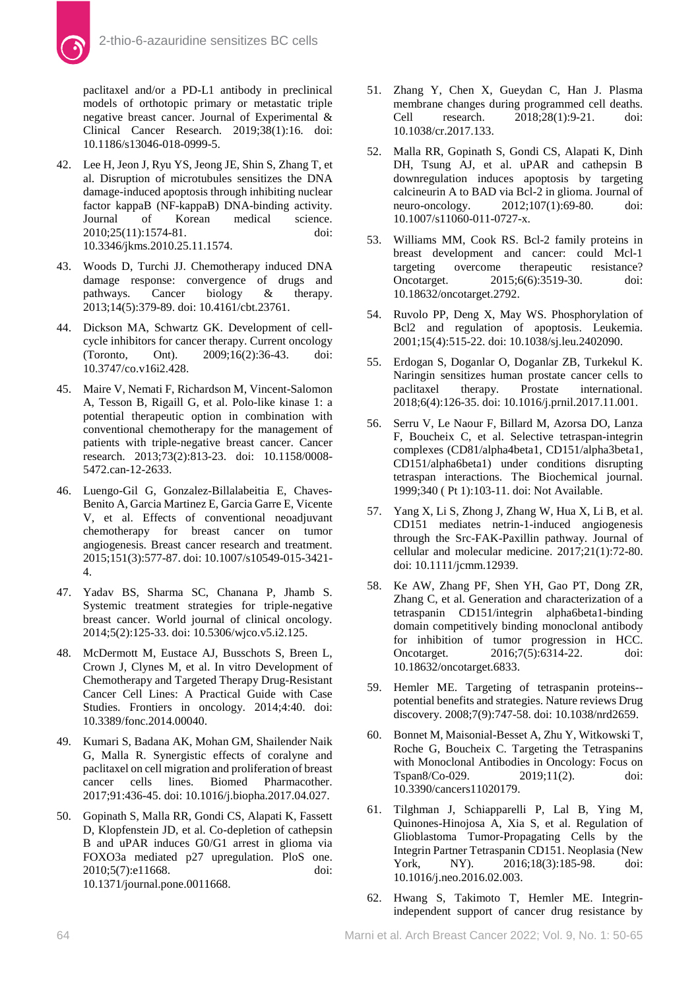

paclitaxel and/or a PD-L1 antibody in preclinical models of orthotopic primary or metastatic triple negative breast cancer. Journal of Experimental & Clinical Cancer Research. 2019;38(1):16. doi: [10.1186/s13046-018-0999-5.](https://scholar.google.ca/scholar?q=10.1186/s13046-018-0999-5.&hl=en&as_sdt=0&as_vis=1&oi=scholart)

- 42. Lee H, Jeon J, Ryu YS, Jeong JE, Shin S, Zhang T, et al. Disruption of microtubules sensitizes the DNA damage-induced apoptosis through inhibiting nuclear factor kappaB (NF-kappaB) DNA-binding activity.<br>Journal of Korean medical science. of Korean medical science. 2010;25(11):1574-81. doi: [10.3346/jkms.2010.25.11.1574.](https://doi.org/10.3346/jkms.2010.25.11.1574)
- 43. Woods D, Turchi JJ. Chemotherapy induced DNA damage response: convergence of drugs and pathways. Cancer biology & therapy. 2013;14(5):379-89. doi[: 10.4161/cbt.23761.](https://doi.org/10.4161/cbt.23761)
- 44. Dickson MA, Schwartz GK. Development of cellcycle inhibitors for cancer therapy. Current oncology (Toronto, Ont). 2009;16(2):36-43. doi: [10.3747/co.v16i2.428.](https://doi.org/10.3747/co.v16i2.428)
- 45. Maire V, Nemati F, Richardson M, Vincent-Salomon A, Tesson B, Rigaill G, et al. Polo-like kinase 1: a potential therapeutic option in combination with conventional chemotherapy for the management of patients with triple-negative breast cancer. Cancer research. 2013;73(2):813-23. doi: [10.1158/0008-](https://doi.org/10.1158/0008-5472.can-12-2633) [5472.can-12-2633.](https://doi.org/10.1158/0008-5472.can-12-2633)
- 46. Luengo-Gil G, Gonzalez-Billalabeitia E, Chaves-Benito A, Garcia Martinez E, Garcia Garre E, Vicente V, et al. Effects of conventional neoadjuvant chemotherapy for breast cancer on tumor angiogenesis. Breast cancer research and treatment. 2015;151(3):577-87. doi[: 10.1007/s10549-015-3421-](https://doi.org/10.1007/s10549-015-3421-4) [4.](https://doi.org/10.1007/s10549-015-3421-4)
- 47. Yadav BS, Sharma SC, Chanana P, Jhamb S. Systemic treatment strategies for triple-negative breast cancer. World journal of clinical oncology. 2014;5(2):125-33. doi: [10.5306/wjco.v5.i2.125.](https://doi.org/10.5306/wjco.v5.i2.125)
- 48. McDermott M, Eustace AJ, Busschots S, Breen L, Crown J, Clynes M, et al. In vitro Development of Chemotherapy and Targeted Therapy Drug-Resistant Cancer Cell Lines: A Practical Guide with Case Studies. Frontiers in oncology. 2014;4:40. doi: [10.3389/fonc.2014.00040.](https://doi.org/10.3389/fonc.2014.00040)
- 49. Kumari S, Badana AK, Mohan GM, Shailender Naik G, Malla R. Synergistic effects of coralyne and paclitaxel on cell migration and proliferation of breast cancer cells lines. Biomed Pharmacother. 2017;91:436-45. doi[: 10.1016/j.biopha.2017.04.027.](https://doi.org/10.1016/j.biopha.2017.04.027)
- 50. Gopinath S, Malla RR, Gondi CS, Alapati K, Fassett D, Klopfenstein JD, et al. Co-depletion of cathepsin B and uPAR induces G0/G1 arrest in glioma via FOXO3a mediated p27 upregulation. PloS one. 2010;5(7):e11668. doi: [10.1371/journal.pone.0011668.](https://doi.org/10.1371/journal.pone.0011668)
- 51. Zhang Y, Chen X, Gueydan C, Han J. Plasma membrane changes during programmed cell deaths. Cell research. 2018;28(1):9-21. doi: [10.1038/cr.2017.133.](https://doi.org/10.1038/cr.2017.133)
- 52. Malla RR, Gopinath S, Gondi CS, Alapati K, Dinh DH, Tsung AJ, et al. uPAR and cathepsin B downregulation induces apoptosis by targeting calcineurin A to BAD via Bcl-2 in glioma. Journal of<br>neuro-oncology. 2012;107(1):69-80. doi: 2012;107(1):69-80. [10.1007/s11060-011-0727-x.](https://doi.org/10.1007/s11060-011-0727-x)
- 53. Williams MM, Cook RS. Bcl-2 family proteins in breast development and cancer: could Mcl-1 targeting overcome therapeutic resistance?<br>Oncotarget. 2015;6(6):3519-30. doi: 2015;6(6):3519-30. [10.18632/oncotarget.2792.](https://doi.org/10.18632/oncotarget.2792)
- 54. Ruvolo PP, Deng X, May WS. Phosphorylation of Bcl2 and regulation of apoptosis. Leukemia. 2001;15(4):515-22. doi[: 10.1038/sj.leu.2402090.](https://doi.org/10.1038/sj.leu.2402090)
- 55. Erdogan S, Doganlar O, Doganlar ZB, Turkekul K. Naringin sensitizes human prostate cancer cells to paclitaxel therapy. Prostate international. 2018;6(4):126-35. doi[: 10.1016/j.prnil.2017.11.001.](https://doi.org/10.1016/j.prnil.2017.11.001)
- 56. Serru V, Le Naour F, Billard M, Azorsa DO, Lanza F, Boucheix C, et al. Selective tetraspan-integrin complexes (CD81/alpha4beta1, CD151/alpha3beta1, CD151/alpha6beta1) under conditions disrupting tetraspan interactions. The Biochemical journal. 1999;340 ( Pt 1):103-11. doi: Not Available.
- 57. Yang X, Li S, Zhong J, Zhang W, Hua X, Li B, et al. CD151 mediates netrin-1-induced angiogenesis through the Src-FAK-Paxillin pathway. Journal of cellular and molecular medicine. 2017;21(1):72-80. doi: [10.1111/jcmm.12939.](https://doi.org/10.1111/jcmm.12939)
- 58. Ke AW, Zhang PF, Shen YH, Gao PT, Dong ZR, Zhang C, et al. Generation and characterization of a tetraspanin CD151/integrin alpha6beta1-binding domain competitively binding monoclonal antibody for inhibition of tumor progression in HCC. Oncotarget. 2016;7(5):6314-22. doi: [10.18632/oncotarget.6833.](https://doi.org/10.18632/oncotarget.6833)
- 59. Hemler ME. Targeting of tetraspanin proteins- potential benefits and strategies. Nature reviews Drug discovery. 2008;7(9):747-58. doi: [10.1038/nrd2659.](https://doi.org/10.1038/nrd2659)
- 60. Bonnet M, Maisonial-Besset A, Zhu Y, Witkowski T, Roche G, Boucheix C. Targeting the Tetraspanins with Monoclonal Antibodies in Oncology: Focus on Tspan8/Co-029. 2019;11(2). doi: [10.3390/cancers11020179.](https://doi.org/10.3390/cancers11020179)
- 61. Tilghman J, Schiapparelli P, Lal B, Ying M, Quinones-Hinojosa A, Xia S, et al. Regulation of Glioblastoma Tumor-Propagating Cells by the Integrin Partner Tetraspanin CD151. Neoplasia (New York, NY). 2016;18(3):185-98. doi: [10.1016/j.neo.2016.02.003.](https://doi.org/10.1016/j.neo.2016.02.003)
- 62. Hwang S, Takimoto T, Hemler ME. Integrinindependent support of cancer drug resistance by